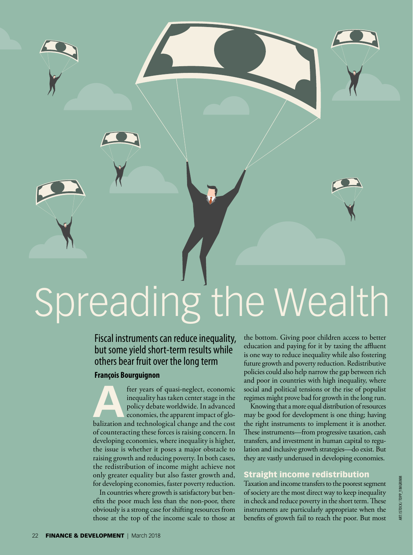

### Fiscal instruments can reduce inequality, but some yield short-term results while others bear fruit over the long term

### **François Bourguignon**

**After years of quasi-neglect, economic inequality has taken center stage in the policy debate worldwide. In advanced economies, the apparent impact of globalization and technological change and the cost** inequality has taken center stage in the policy debate worldwide. In advanced economies, the apparent impact of gloof counteracting these forces is raising concern. In developing economies, where inequality is higher, the issue is whether it poses a major obstacle to raising growth and reducing poverty. In both cases, the redistribution of income might achieve not only greater equality but also faster growth and, for developing economies, faster poverty reduction.

In countries where growth is satisfactory but benefits the poor much less than the non-poor, there obviously is a strong case for shifting resources from those at the top of the income scale to those at

the bottom. Giving poor children access to better education and paying for it by taxing the affluent is one way to reduce inequality while also fostering future growth and poverty reduction. Redistributive policies could also help narrow the gap between rich and poor in countries with high inequality, where social and political tensions or the rise of populist regimes might prove bad for growth in the long run.

Knowing that a more equal distribution of resources may be good for development is one thing; having the right instruments to implement it is another. These instruments—from progressive taxation, cash transfers, and investment in human capital to regulation and inclusive growth strategies—do exist. But they are vastly underused in developing economies.

### Straight income redistribution

Taxation and income transfers to the poorest segment of society are the most direct way to keep inequality in check and reduce poverty in the short term. These instruments are particularly appropriate when the benefits of growth fail to reach the poor. But most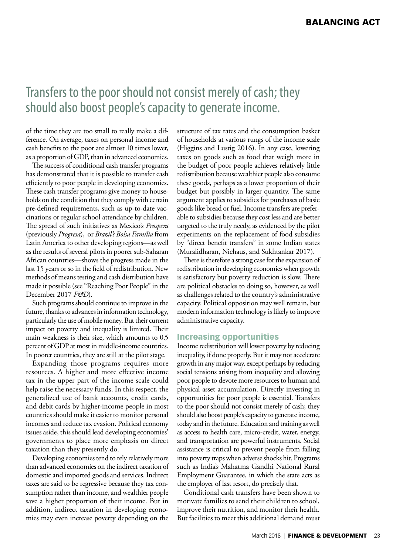# [Transfers to the poor should not consist merely of cash; they](http://www.imf.org/external/pubs/ft/fandd/2018/03/bourguignon.htm)  should also boost people's capacity to generate income.

of the time they are too small to really make a difference. On average, taxes on personal income and cash benefits to the poor are almost 10 times lower, as a proportion of GDP, than in advanced economies.

The success of conditional cash transfer programs has demonstrated that it is possible to transfer cash efficiently to poor people in developing economies. These cash transfer programs give money to households on the condition that they comply with certain pre-defined requirements, such as up-to-date vaccinations or regular school attendance by children. The spread of such initiatives as Mexico's *Prospera*  (previously *Progresa*), or *Brazil's Bolsa Família* from Latin America to other developing regions—as well as the results of several pilots in poorer sub-Saharan African countries—shows the progress made in the last 15 years or so in the field of redistribution. New methods of means testing and cash distribution have made it possible (see "Reaching Poor People" in the December 2017 *F&D*).

Such programs should continue to improve in the future, thanks to advances in information technology, particularly the use of mobile money. But their current impact on poverty and inequality is limited. Their main weakness is their size, which amounts to 0.5 percent of GDP at most in middle-income countries. In poorer countries, they are still at the pilot stage.

Expanding those programs requires more resources. A higher and more effective income tax in the upper part of the income scale could help raise the necessary funds. In this respect, the generalized use of bank accounts, credit cards, and debit cards by higher-income people in most countries should make it easier to monitor personal incomes and reduce tax evasion. Political economy issues aside, this should lead developing economies' governments to place more emphasis on direct taxation than they presently do.

Developing economies tend to rely relatively more than advanced economies on the indirect taxation of domestic and imported goods and services. Indirect taxes are said to be regressive because they tax consumption rather than income, and wealthier people save a higher proportion of their income. But in addition, indirect taxation in developing economies may even increase poverty depending on the

structure of tax rates and the consumption basket of households at various rungs of the income scale (Higgins and Lustig 2016). In any case, lowering taxes on goods such as food that weigh more in the budget of poor people achieves relatively little redistribution because wealthier people also consume these goods, perhaps as a lower proportion of their budget but possibly in larger quantity. The same argument applies to subsidies for purchases of basic goods like bread or fuel. Income transfers are preferable to subsidies because they cost less and are better targeted to the truly needy, as evidenced by the pilot experiments on the replacement of food subsidies by "direct benefit transfers" in some Indian states (Muralidharan, Niehaus, and Sukhtankar 2017).

There is therefore a strong case for the expansion of redistribution in developing economies when growth is satisfactory but poverty reduction is slow. There are political obstacles to doing so, however, as well as challenges related to the country's administrative capacity. Political opposition may well remain, but modern information technology is likely to improve administrative capacity.

### Increasing opportunities

Income redistribution will lower poverty by reducing inequality, if done properly. But it may not accelerate growth in any major way, except perhaps by reducing social tensions arising from inequality and allowing poor people to devote more resources to human and physical asset accumulation. Directly investing in opportunities for poor people is essential. Transfers to the poor should not consist merely of cash; they should also boost people's capacity to generate income, today and in the future. Education and training as well as access to health care, micro-credit, water, energy, and transportation are powerful instruments. Social assistance is critical to prevent people from falling into poverty traps when adverse shocks hit. Programs such as India's Mahatma Gandhi National Rural Employment Guarantee, in which the state acts as the employer of last resort, do precisely that.

Conditional cash transfers have been shown to motivate families to send their children to school, improve their nutrition, and monitor their health. But facilities to meet this additional demand must